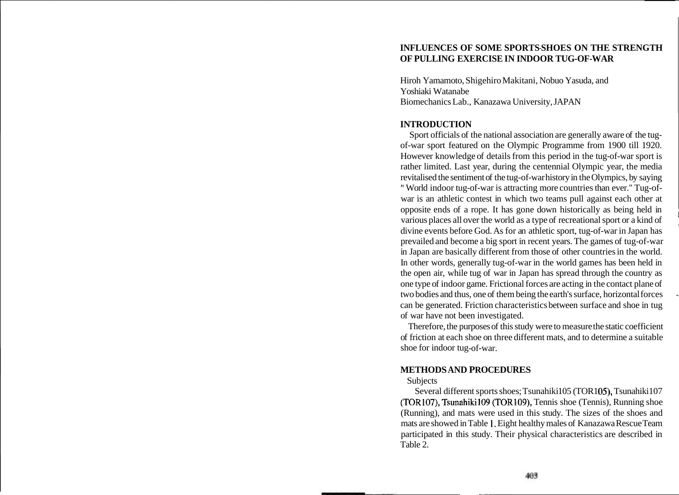## **INFLUENCES OF SOME SPORTS-SHOES ON THE STRENGTH OF PULLING EXERCISE IN INDOOR TUG-OF-WAR**

Hiroh Yamamoto, Shigehiro Makitani, Nobuo Yasuda, and Yoshiaki Watanabe Biomechanics Lab., Kanazawa University, JAPAN

## **INTRODUCTION**

Sport officials of the national association are generally aware of the tugof-war sport featured on the Olympic Programme from 1900 till 1920. However knowledge of details from this period in the tug-of-war sport is rather limited. Last year, during the centennial Olympic year, the media revitalised the sentiment of the tug-of-war history in the Olympics, by saying " World indoor tug-of-war is attracting more countries than ever." Tug-ofwar is an athletic contest in which two teams pull against each other at opposite ends of a rope. It has gone down historically as being held in <sup>1</sup> various places all over the world as a type of recreational sport or a kind of divine events before God. As for an athletic sport, tug-of-war in Japan has prevailed and become a big sport in recent years. The games of tug-of-war in Japan are basically different from those of other countries in the world. In other words, generally tug-of-war in the world games has been held in the open air, while tug of war in Japan has spread through the country as one type of indoor game. Frictional forces are acting in the contact plane of two bodies and thus, one of them being the earth's surface, horizontal forces can be generated. Friction characteristics between surface and shoe in tug of war have not been investigated.

Therefore, the purposes of this study were to measure the static coefficient of friction at each shoe on three different mats, and to determine a suitable shoe for indoor tug-of-war.

## **METHODS AND PROCEDURES**

## Subjects

Several different sports shoes; Tsunahiki 105 (TOR105), Tsunahiki 107 (TOR107), Tsunahikil09 (TOR109), Tennis shoe (Tennis), Running shoe (Running), and mats were used in this study. The sizes of the shoes and mats are showed in Table 1. Eight healthy males of Kanazawa Rescue Team participated in this study. Their physical characteristics are described in Table 2.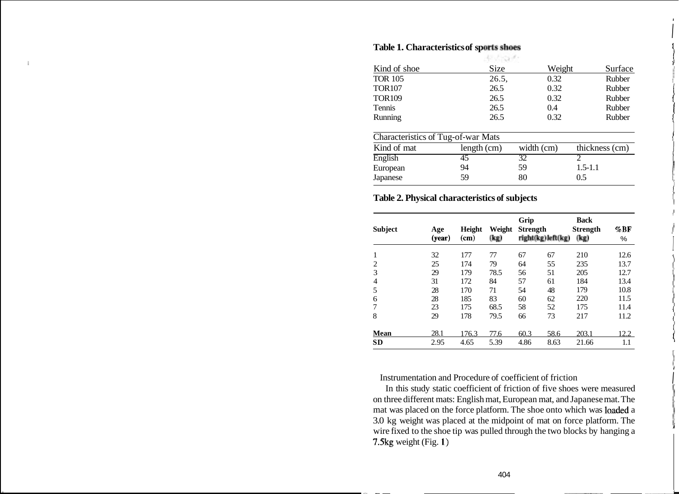|                                    | -切引のポー      |            |                |
|------------------------------------|-------------|------------|----------------|
| Kind of shoe                       | Size        | Weight     | Surface        |
| <b>TOR 105</b>                     | 26.5,       | 0.32       | Rubber         |
| <b>TOR107</b>                      | 26.5        | 0.32       | Rubber         |
| <b>TOR109</b>                      | 26.5        | 0.32       | Rubber         |
| Tennis                             | 26.5        | 0.4        | Rubber         |
| Running                            | 26.5        | 0.32       | Rubber         |
| Characteristics of Tug-of-war Mats |             |            |                |
| Kind of mat                        | length (cm) | width (cm) | thickness (cm) |
| English                            | 45          | 32         |                |
| European                           | 94          | 59         | $1.5 - 1.1$    |
| Japanese                           | 59          | 80         | 0.5            |
|                                    |             |            |                |

# **Table 1. Characteristics of sports shoes**

### **Table 2. Physical characteristics of subjects**

| <b>Subject</b> | Age<br>(year) | Height<br>$(\mathbf{cm})$ | Weight<br>(kg) | Grip<br><b>Strength</b> | right(kg)left(kg) | <b>Back</b><br><b>Strength</b><br>(kg) | $\%$ BF<br>% |
|----------------|---------------|---------------------------|----------------|-------------------------|-------------------|----------------------------------------|--------------|
| $\mathbf{1}$   | 32            | 177                       | 77             | 67                      | 67                | 210                                    | 12.6         |
| $\overline{2}$ | 25            | 174                       | 79             | 64                      | 55                | 235                                    | 13.7         |
| 3              | 29            | 179                       | 78.5           | 56                      | 51                | 205                                    | 12.7         |
| $\overline{4}$ | 31            | 172                       | 84             | 57                      | 61                | 184                                    | 13.4         |
| 5              | 28            | 170                       | 71             | 54                      | 48                | 179                                    | 10.8         |
| 6              | 28            | 185                       | 83             | 60                      | 62                | 220                                    | 11.5         |
| 7              | 23            | 175                       | 68.5           | 58                      | 52                | 175                                    | 11.4         |
| 8              | 29            | 178                       | 79.5           | 66                      | 73                | 217                                    | 11.2         |
| <b>Mean</b>    | 28.1          | 176.3                     | 77.6           | 60.3                    | 58.6              | 203.1                                  | 12.2         |
| <b>SD</b>      | 2.95          | 4.65                      | 5.39           | 4.86                    | 8.63              | 21.66                                  | 1.1          |

Instrumentation and Procedure of coefficient of friction

In this study static coefficient of friction of five shoes were measured on three different mats: English mat, European mat, and Japanese mat. The mat was placed on the force platform. The shoe onto which was loaded a 3.0 kg weight was placed at the midpoint of mat on force platform. The wire fixed to the shoe tip was pulled through the two blocks by hanging a 7.5kg weight (Fig. **I)**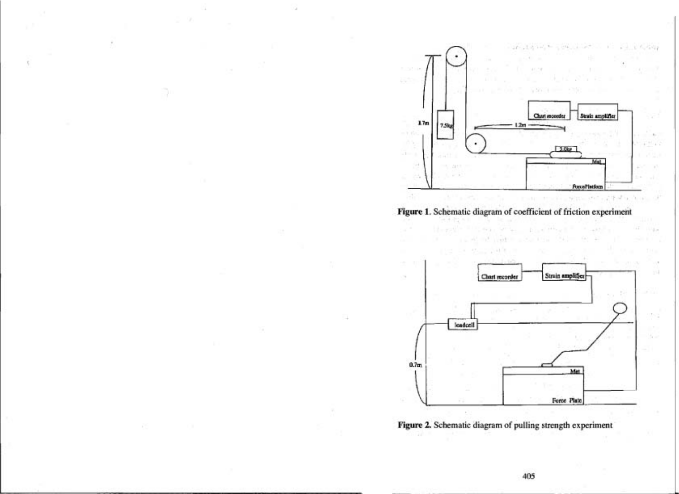



a i t



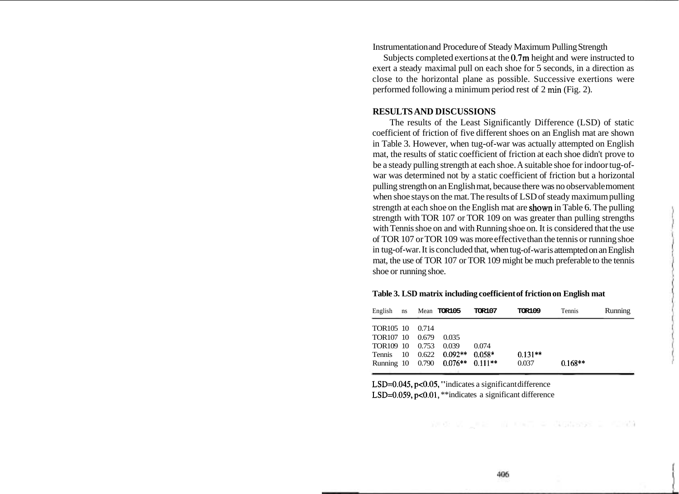Instrumentation and Procedure of Steady Maximum Pulling Strength

Subjects completed exertions at the 0.7m height and were instructed to exert a steady maximal pull on each shoe for 5 seconds, in a direction as close to the horizontal plane as possible. Successive exertions were performed following a minimum period rest of 2 min (Fig. 2).

### **RESULTS AND DISCUSSIONS**

The results of the Least Significantly Difference (LSD) of static coefficient of friction of five different shoes on an English mat are shown in Table 3. However, when tug-of-war was actually attempted on English mat, the results of static coefficient of friction at each shoe didn't prove to be a steady pulling strength at each shoe. A suitable shoe for indoor tug-ofwar was determined not by a static coefficient of friction but a horizontal pulling strength on an English mat, because there was no observable moment when shoe stays on the mat. The results of LSD of steady maximum pulling strength at each shoe on the English mat are shown in Table 6. The pulling strength with TOR 107 or TOR 109 on was greater than pulling strengths with Tennis shoe on and with Running shoe on. It is considered that the use of TOR 107 or TOR 109 was more effective than the tennis or running shoe in tug-of-war. It is concluded that, when tug-of-war is attempted on an English mat, the use of TOR 107 or TOR 109 might be much preferable to the tennis shoe or running shoe.

| English ns            |       | Mean <b>TOR105</b>               | <b>TOR107</b> | <b>TOR109</b> | Tennis    | <b>Running</b> |
|-----------------------|-------|----------------------------------|---------------|---------------|-----------|----------------|
| TOR <sub>105</sub> 10 | 0.714 |                                  |               |               |           |                |
| TOR107 10             | 0.679 | 0.035                            |               |               |           |                |
| TOR109 10             | 0.753 | 0.039                            | 0.074         |               |           |                |
| Tennis 10             |       | $0.622$ $0.092**$                | $0.058*$      | $0.131**$     |           |                |
|                       |       | Running 10 0.790 0.076** 0.111** |               | 0.037         | $0.168**$ |                |

**Table 3. LSD matrix including coefficient of friction on English mat** 

LSD=0.045, p<0.05, "indicates a significant difference LSD=0.059, p<0.01, \*\*indicates a significant difference

New York IN CAT & NONSON & CONN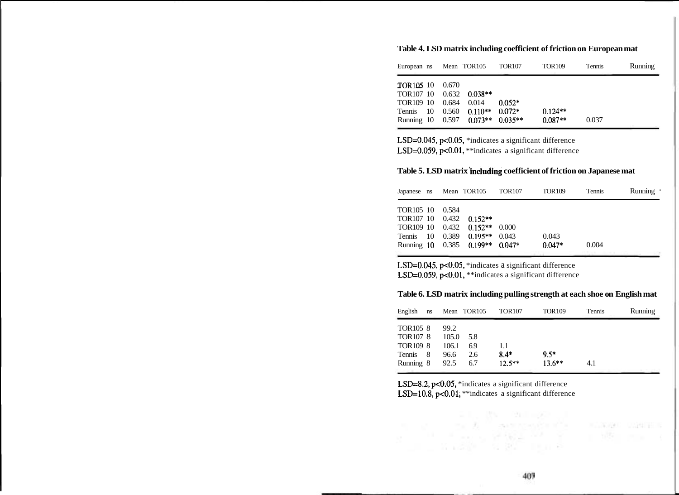| European ns Mean TOR105                                                                     |                           |                                         | <b>TOR107</b>        | <b>TOR109</b>          | Tennis | <b>Running</b> |
|---------------------------------------------------------------------------------------------|---------------------------|-----------------------------------------|----------------------|------------------------|--------|----------------|
| <b>TOR105 10</b><br>TOR107 10<br>TOR109 10<br>Tennis 10<br>Running 10 0.597 0.073** 0.035** | - 0.670<br>0.684<br>0.560 | $0.632$ $0.038**$<br>0.014<br>$0.110**$ | $0.052*$<br>$0.072*$ | $0.124**$<br>$0.087**$ | 0.037  |                |

**Table 4. LSD matrix including coefficient of friction on European mat** 

LSD=0.045, p<0.05, \*indicates a significant difference LSD=0.059, p<0.01, \*\*indicates a significant difference

#### **Table 5. LSD matrix 'including coefficient of friction on Japanese mat**

|           |       | Japanese ns Mean TOR105 TOR107  | <b>TOR109</b> | Tennis | Running ·                                    |
|-----------|-------|---------------------------------|---------------|--------|----------------------------------------------|
| TOR105 10 | 0.584 |                                 |               |        |                                              |
|           |       | TOR107 10 0.432 0.152**         |               |        |                                              |
|           |       | TOR109 10 0.432 0.152** 0.000   |               |        |                                              |
|           |       | Tennis 10 0.389 0.195** 0.043   | 0.043         |        |                                              |
|           |       | Running 10 0.385 0.199** 0.047* | $0.047*$      | 0.004  | at the company of the company of the company |

LSD=0.045, p<0.05, \*indicates a significant difference LSD=0.059, p<0.01, \*\*indicates a significant difference

| Table 6. LSD matrix including pulling strength at each shoe on English mat |
|----------------------------------------------------------------------------|
|----------------------------------------------------------------------------|

| English              | ns. |       | Mean TOR105 | <b>TOR107</b> | <b>TOR109</b> | Tennis | Running |
|----------------------|-----|-------|-------------|---------------|---------------|--------|---------|
| TOR <sub>105</sub> 8 |     | 99.2  |             |               |               |        |         |
| <b>TOR107 8</b>      |     | 105.0 | 5.8         |               |               |        |         |
| <b>TOR109 8</b>      |     | 106.1 | 6.9         | 1.1           |               |        |         |
| Tennis 8             |     | 96.6  | 2.6         | $8.4*$        | $9.5*$        |        |         |
| Running 8            |     | 92.5  | 6.7         | $12.5***$     | $13.6***$     | 4.1    |         |

LSD=8.2, p<0.05, \*indicates a significant difference LSD=10.8, p<0.01, \*\*indicates a significant difference

 $\mathbf{y}_1 = \mathbf{y}_2 = \mathbf{y}_1 + \mathbf{y}_2 = \mathbf{y}_1 + \mathbf{y}_2 + \mathbf{y}_3$  , where  $\mathbf{y}_1 = \mathbf{y}_2 = \mathbf{y}_3$ 

 $\label{eq:1.1} S^2 = \frac{1}{2} \left( \frac{1}{2} \sum_{i=1}^n \frac{1}{2} \sum_{j=1}^n \frac{1}{2} \sum_{j=1}^n \frac{1}{2} \sum_{j=1}^n \frac{1}{2} \sum_{j=1}^n \frac{1}{2} \sum_{j=1}^n \frac{1}{2} \sum_{j=1}^n \frac{1}{2} \sum_{j=1}^n \frac{1}{2} \sum_{j=1}^n \frac{1}{2} \sum_{j=1}^n \frac{1}{2} \sum_{j=1}^n \frac{1}{2} \sum_{j=1}^n \frac{1}{$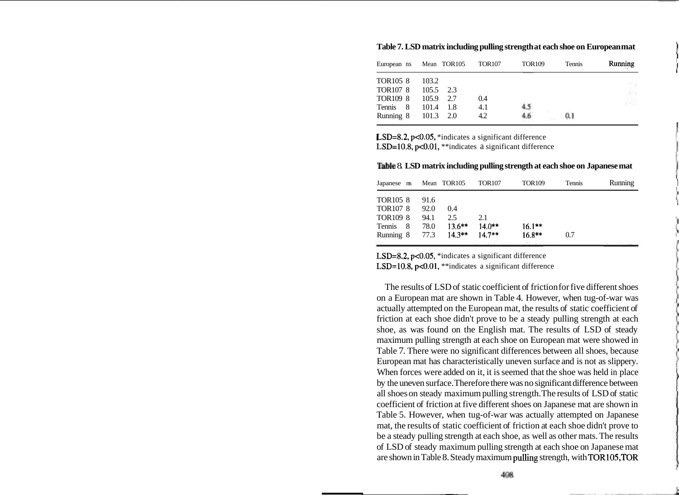| European ns     | Mean TOR105   | <b>TOR107</b> | <b>TOR109</b> | Tennis | Running |
|-----------------|---------------|---------------|---------------|--------|---------|
| TOR105 8        | 103.2         |               |               |        |         |
| <b>TOR107 8</b> | 105.5<br>2.3  |               |               |        |         |
| TOR109 8        | 105.9<br>2.7  | 0.4           |               |        |         |
| Tennis 8        | 101.4<br>-1.8 | 4.1           |               |        |         |
| Running 8       | 101.3<br>2.0  | 4.2           |               | 0.1    |         |
|                 |               |               |               |        |         |

**Table 7. LSD matrix including pulling strength at each shoe on European mat** <sup>1</sup>

LSD=8.2, p<0.05, \*indicates a significant difference LSD=10.8, p<0.01, \*\*indicates a significant difference

**able** 8. **LSD matrix including pulling strength at each shoe on Japanese mat** 

| Japanese ns     |      | Mean TOR105 | <b>TOR107</b> | <b>TOR109</b> | <b>Tennis</b> | Running |
|-----------------|------|-------------|---------------|---------------|---------------|---------|
| <b>TOR105 8</b> | 91.6 |             |               |               |               |         |
| <b>TOR107 8</b> | 92.0 | 0.4         |               |               |               |         |
| <b>TOR109 8</b> | 94.1 | 2.5         | 2.1           |               |               |         |
| Tennis<br>8     | 78.0 | $13.6***$   | $14.0***$     | $16.1**$      |               |         |
| Running 8       | 77.3 | $14.3**$    | $14.7**$      | $16.8**$      | 0.7           |         |
|                 |      |             |               |               |               |         |

LSD=8.2, p<0.05, \*indicates a significant difference LSD=10.8,  $p<0.01$ , \*\*indicates a significant difference

The results of LSD of static coefficient of friction for five different shoes on a European mat are shown in Table 4. However, when tug-of-war was actually attempted on the European mat, the results of static coefficient of friction at each shoe didn't prove to be a steady pulling strength at each shoe, as was found on the English mat. The results of LSD of steady maximum pulling strength at each shoe on European mat were showed in Table 7. There were no significant differences between all shoes, because European mat has characteristically uneven surface and is not as slippery. When forces were added on it, it is seemed that the shoe was held in place by the uneven surface. Therefore there was no significant difference between all shoes on steady maximum pulling strength. The results of LSD of static coefficient of friction at five different shoes on Japanese mat are shown in Table 5. However, when tug-of-war was actually attempted on Japanese mat, the results of static coefficient of friction at each shoe didn't prove to be a steady pulling strength at each shoe, as well as other mats. The results of LSD of steady maximum pulling strength at each shoe on Japanese mat are shown in Table 8. Steady maximum pulling strength, with TOR105,TOR